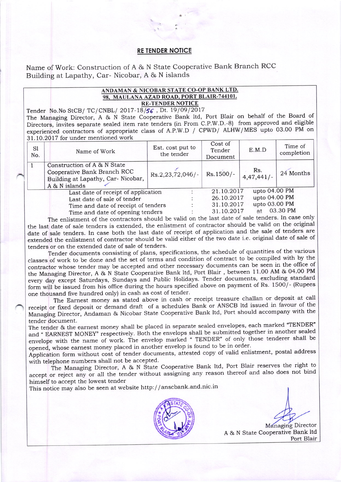## RE TENDER NOTICE

:

Name of Work: Construction of A & N State Cooperative Bank Branch RCC Building at Lapathy, Car- Nicobar, A & N islands

## ANDAMAN & NICOBAR STATE CO-OP BANK LTD. 98. MAULANA AZAD ROAD. PORT BLAIR-744I01. RE-TENDER NOTICE

Tender No.No StCB/ TC/CNBL/ 2017-18/56, Dt. 19/09/2017 The Managing Director, A & N State Cooperativg Bank ltd, Port Blair on behalf of the Board of Directors, invites separate sealed item rate tenders (in From C.P.W.D.-8) from approved and eligible experienced contractors of appropriate class of A.P.W.D / CPWD/ ALHW/MES upto 03.00 PM on 3l.lO.2OI7 for under mentioned work

| S1<br>No. | Name of Work                                                                                                      | Est. cost put to<br>the tender | Cost of<br>Tender<br>Document | E.M.D            | Time of<br>completion |
|-----------|-------------------------------------------------------------------------------------------------------------------|--------------------------------|-------------------------------|------------------|-----------------------|
|           | Construction of A & N State<br>Cooperative Bank Branch RCC<br>Building at Lapathy, Car- Nicobar,<br>A & N islands | Rs.2,23,72,046/-               | $Rs.1500/-$                   | Rs.<br>4,47,441/ | 24 Months             |
|           | Last date of receipt of application                                                                               |                                | upto 04.00 PM<br>21.10.2017   |                  |                       |
|           | Last date of sale of tender                                                                                       |                                | upto 04.00 PM<br>26.10.2017   |                  |                       |
|           | Time and date of receipt of tenders<br>Time and date of opening tenders                                           |                                | 31.10.2017                    | upto 03.00 PM    |                       |
|           |                                                                                                                   |                                | 31.10.2017                    |                  | at 03.30 PM           |

The enlistment of the contractors should be valid on the last date of sale tenders. In case only the last date of sale tenders is extended, the enlistment of contractor should be valid on the original date of sale tenders. In case both the last date of receipt of application and the sale of tenders are extended the enlistment of contractor should be valid either of the two date i.e. original date of sale of tenders or on the extended date of sale of tenders.

Tender documents consisting of plans, specifications, the schedule of quantities of the various classes of work to be done and the set of terms and condition of contract to be compiled with by the contractor whose tender may be accepted and other necessary documents can be seen in the office of the Managing Director, A & N State Cooperative Bank ltd, Port Blair, between 11.00 AM & 04.00 PM every day except Saturdays, Sundays and Public Holidays. Tender documents, excluding standard form will be issued from his office during the hours specified above on payment of Rs. 1500/- (Rupees one thousand five hundred only) in cash as cost of tender.

The Earnest money as stated above in cash or receipt treasure challan or deposit at call receipt or fixed deposit or demand draft of a schedules Bank or ANSCB ltd issued in favour of the Managing Director, Andaman & Nicobar State Cooperative Bank ltd, Port should accompany with the tender document.

The tender & the earnest money shall be placed in separate sealed envelopes, each marked "TENDER" and " EARNEST MONEY" respectively. Both the envelops shall be submitted together in another sealed envelope with the name of work. The envelop marked " TENDER" of only those tenderer shall be opened, whose earnest money placed in another envelop is found to be in order.

Application form without cost of tender documents, attested copy of valid enlistment, postal address with telephone numbers shall not be accepted.

The Managing Director, A & N State Cooperative Bank ltd, Port Blair reserves the right to accept or reject any or all the tender without assigning any reason thereof and also does not bind himself to accept the lowest tender

This notice may also be seen at website http://anscbank.and.nic.in



A & N State Cooperative Bank ltd Port Blair Managing Director